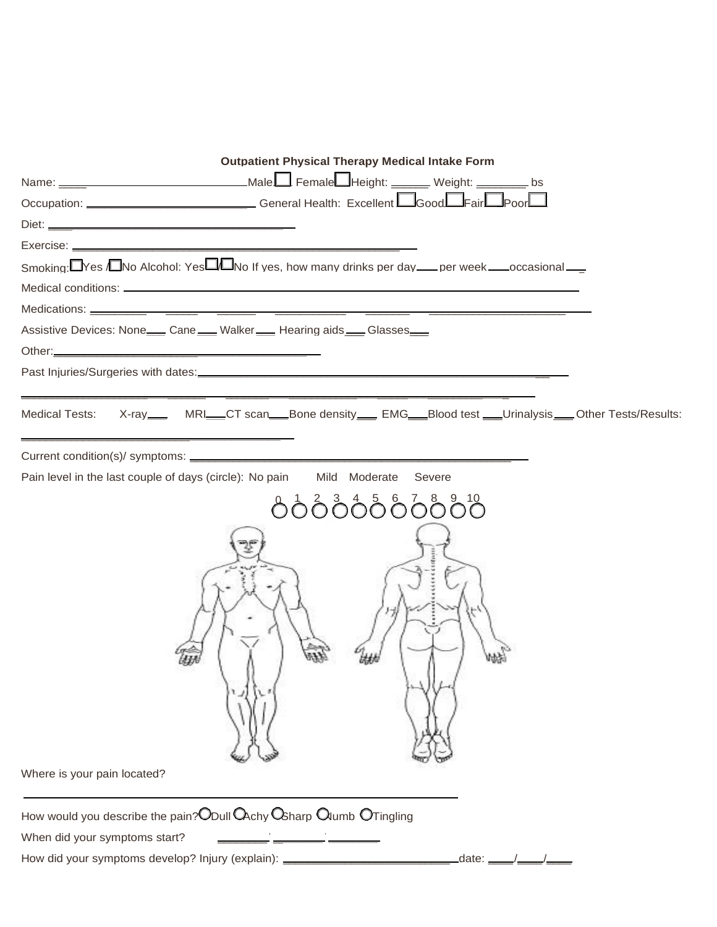| <b>Outpatient Physical Therapy Medical Intake Form</b>                                                                             |  |
|------------------------------------------------------------------------------------------------------------------------------------|--|
| Name: ___________________________________Male Female Height: _______ Weight: _________ bs                                          |  |
| Occupation: _______________________________General Health: Excellent L_GoodL_FairL_PoorL_                                          |  |
|                                                                                                                                    |  |
|                                                                                                                                    |  |
| Smoking: $\Box$ Yes $\Box$ No Alcohol: Yes $\Box$ No If yes, how many drinks per day ___ per week ___ occasional ___               |  |
|                                                                                                                                    |  |
|                                                                                                                                    |  |
| Assistive Devices: None___ Cane ___ Walker ___ Hearing aids ___ Glasses___                                                         |  |
|                                                                                                                                    |  |
|                                                                                                                                    |  |
| Medical Tests: X-ray____ MRI___CT scan___Bone density___ EMG___Blood test ___Urinalysis___ Other Tests/Results:                    |  |
|                                                                                                                                    |  |
| Pain level in the last couple of days (circle): No pain Mild Moderate<br>Severe                                                    |  |
|                                                                                                                                    |  |
| <u> ბბბბბბბბბშ</u>                                                                                                                 |  |
|                                                                                                                                    |  |
|                                                                                                                                    |  |
| Where is your pain located?                                                                                                        |  |
|                                                                                                                                    |  |
| How would you describe the pain? Obull $\mathsf{Q}_{\mathsf{chy}}\mathsf{Q}_{\mathsf{sharp}}\mathsf{Q}_{\mathsf{lumb}}$ otringling |  |
| When did your symptoms start?                                                                                                      |  |
| How did your symptoms develop? Injury (explain): _______________________________<br>date: __                                       |  |
|                                                                                                                                    |  |